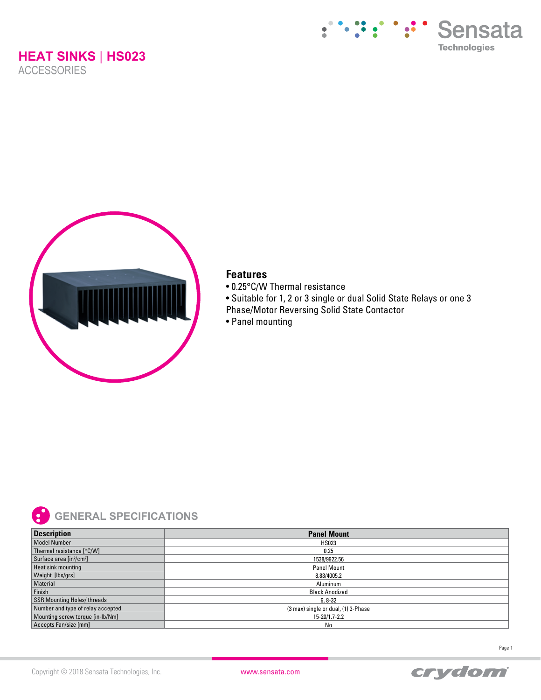



# **Features**

- 0.25°C/W Thermal resistance
- Suitable for 1, 2 or 3 single or dual Solid State Relays or one 3 Phase/Motor Reversing Solid State Contactor
- Panel mounting



# **GENERAL SPECIFICATIONS**

| <b>Description</b>                               | <b>Panel Mount</b>                  |
|--------------------------------------------------|-------------------------------------|
| <b>Model Number</b>                              | <b>HS023</b>                        |
| Thermal resistance [°C/W]                        | 0.25                                |
| Surface area [in <sup>2</sup> /cm <sup>2</sup> ] | 1538/9922.56                        |
| Heat sink mounting                               | <b>Panel Mount</b>                  |
| Weight [lbs/grs]                                 | 8.83/4005.2                         |
| Material                                         | Aluminum                            |
| Finish                                           | <b>Black Anodized</b>               |
| <b>SSR Mounting Holes/ threads</b>               | $6.8 - 32$                          |
| Number and type of relay accepted                | (3 max) single or dual, (1) 3-Phase |
| Mounting screw torque [in-lb/Nm]                 | 15-20/1.7-2.2                       |
| Accepts Fan/size [mm]                            | No                                  |

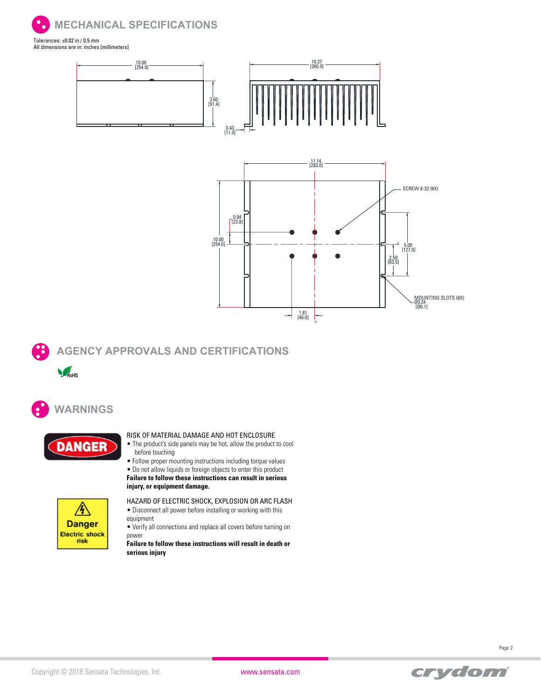

All dimensions are in: inches [millimeters]





**AGENCY APPROVALS AND CERTIFICATIONS**

LROHS

# **WARNINGS**



risk

### RISK OF MATERIAL DAMAGE AND HOT ENCLOSURE

- The product's side panels may be hot, allow the product to cool before touching
- Follow proper mounting instructions including torque values
- Do not allow liquids or foreign objects to enter this product **Failure to follow these instructions can result in serious**
- **injury, or equipment damage.** A equipment **Danger Electric shock**

HAZARD OF ELECTRIC SHOCK, EXPLOSION OR ARC FLASH • Disconnect all power before installing or working with this

• Verify all connections and replace all covers before turning on power

**Failure to follow these instructions will result in death or serious injury**



Page 2